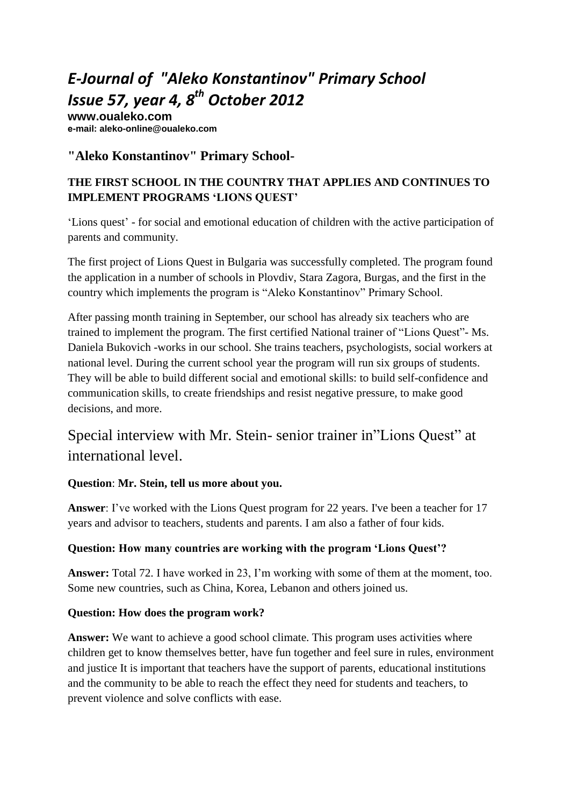# *E-Journal of "Aleko Konstantinov" Primary School Issue 57, year 4, 8 th October 2012*

**www.oualeko.com е-mail: aleko-online@oualeko.com**

## **"Aleko Konstantinov" Primary School-**

### **THE FIRST SCHOOL IN THE COUNTRY THAT APPLIES AND CONTINUES TO IMPLEMENT PROGRAMS 'LIONS QUEST'**

'Lions quest' - for social and emotional education of children with the active participation of parents and community.

The first project of Lions Quest in Bulgaria was successfully completed. The program found the application in a number of schools in Plovdiv, Stara Zagora, Burgas, and the first in the country which implements the program is "Aleko Konstantinov" Primary School.

After passing month training in September, our school has already six teachers who are trained to implement the program. The first certified National trainer of "Lions Quest"- Ms. Daniela Bukovich -works in our school. She trains teachers, psychologists, social workers at national level. During the current school year the program will run six groups of students. They will be able to build different social and emotional skills: to build self-confidence and communication skills, to create friendships and resist negative pressure, to make good decisions, and more.

## Special interview with Mr. Stein- senior trainer in"Lions Quest" at international level.

#### **Question**: **Mr. Stein, tell us more about you.**

**Answer**: I've worked with the Lions Quest program for 22 years. I've been a teacher for 17 years and advisor to teachers, students and parents. I am also a father of four kids.

#### **Question: How many countries are working with the program 'Lions Quest'?**

**Answer:** Total 72. I have worked in 23, I'm working with some of them at the moment, too. Some new countries, such as China, Korea, Lebanon and others joined us.

#### **Question: How does the program work?**

Answer: We want to achieve a good school climate. This program uses activities where children get to know themselves better, have fun together and feel sure in rules, environment and justice It is important that teachers have the support of parents, educational institutions and the community to be able to reach the effect they need for students and teachers, to prevent violence and solve conflicts with ease.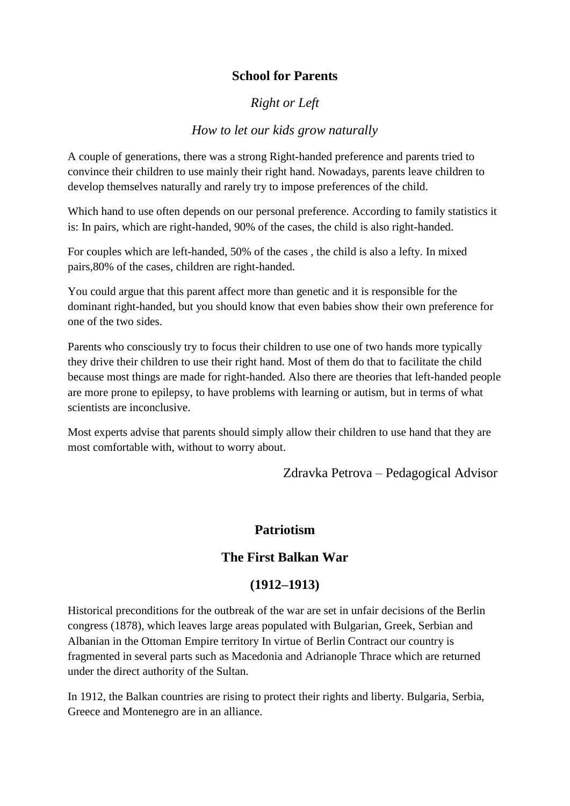## **School for Parents**

### *Right or Left*

#### *How to let our kids grow naturally*

A couple of generations, there was a strong Right-handed preference and parents tried to convince their children to use mainly their right hand. Nowadays, parents leave children to develop themselves naturally and rarely try to impose preferences of the child.

Which hand to use often depends on our personal preference. According to family statistics it is: In pairs, which are right-handed, 90% of the cases, the child is also right-handed.

For couples which are left-handed, 50% of the cases , the child is also a lefty. In mixed pairs,80% of the cases, children are right-handed.

You could argue that this parent affect more than genetic and it is responsible for the dominant right-handed, but you should know that even babies show their own preference for one of the two sides.

Parents who consciously try to focus their children to use one of two hands more typically they drive their children to use their right hand. Most of them do that to facilitate the child because most things are made for right-handed. Also there are theories that left-handed people are more prone to epilepsy, to have problems with learning or autism, but in terms of what scientists are inconclusive.

Most experts advise that parents should simply allow their children to use hand that they are most comfortable with, without to worry about.

Zdravka Petrova – Pedagogical Advisor

#### **Patriotism**

#### **The First Balkan War**

#### **(1912–1913)**

Historical preconditions for the outbreak of the war are set in unfair decisions of the Berlin congress (1878), which leaves large areas populated with Bulgarian, Greek, Serbian and Albanian in the Ottoman Empire territory In virtue of Berlin Contract our country is fragmented in several parts such as Macedonia and Adrianople Thrace which are returned under the direct authority of the Sultan.

In 1912, the Balkan countries are rising to protect their rights and liberty. Bulgaria, Serbia, Greece and Montenegro are in an alliance.